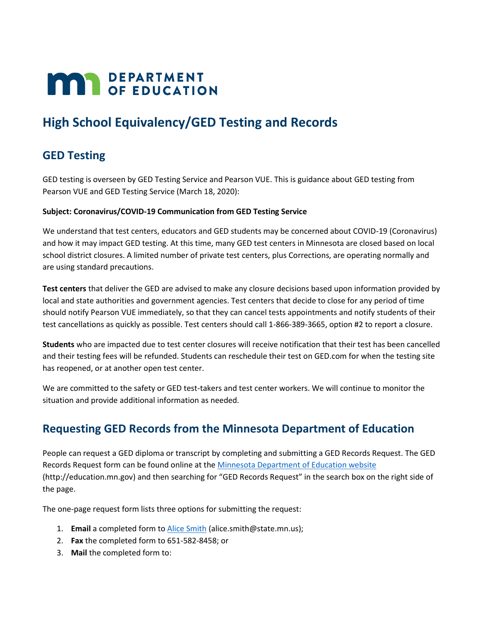# **MAR** DEPARTMENT

## **High School Equivalency/GED Testing and Records**

## **GED Testing**

GED testing is overseen by GED Testing Service and Pearson VUE. This is guidance about GED testing from Pearson VUE and GED Testing Service (March 18, 2020):

#### **Subject: Coronavirus/COVID-19 Communication from GED Testing Service**

We understand that test centers, educators and GED students may be concerned about COVID-19 (Coronavirus) and how it may impact GED testing. At this time, many GED test centers in Minnesota are closed based on local school district closures. A limited number of private test centers, plus Corrections, are operating normally and are using standard precautions.

**Test centers** that deliver the GED are advised to make any closure decisions based upon information provided by local and state authorities and government agencies. Test centers that decide to close for any period of time should notify Pearson VUE immediately, so that they can cancel tests appointments and notify students of their test cancellations as quickly as possible. Test centers should call 1-866-389-3665, option #2 to report a closure.

**Students** who are impacted due to test center closures will receive notification that their test has been cancelled and their testing fees will be refunded. Students can reschedule their test on GED.com for when the testing site has reopened, or at another open test center.

We are committed to the safety or GED test-takers and test center workers. We will continue to monitor the situation and provide additional information as needed.

### **Requesting GED Records from the Minnesota Department of Education**

People can request a GED diploma or transcript by completing and submitting a GED Records Request. The GED Records Request form can be found online at th[e Minnesota Department of Education website](http://education.mn.gov/) (http://education.mn.gov) and then searching for "GED Records Request" in the search box on the right side of the page.

The one-page request form lists three options for submitting the request:

- 1. **Email** a completed form to [Alice Smith](mailto:alice.smith@state.mn.us) (alice.smith@state.mn.us);
- 2. **Fax** the completed form to 651-582-8458; or
- 3. **Mail** the completed form to: